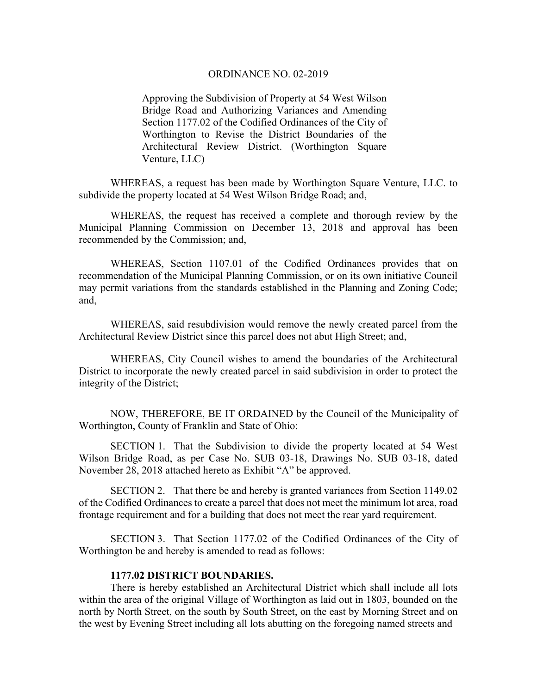# ORDINANCE NO. 02-2019

Approving the Subdivision of Property at 54 West Wilson Bridge Road and Authorizing Variances and Amending Section 1177.02 of the Codified Ordinances of the City of Worthington to Revise the District Boundaries of the Architectural Review District. (Worthington Square Venture, LLC)

 WHEREAS, a request has been made by Worthington Square Venture, LLC. to subdivide the property located at 54 West Wilson Bridge Road; and,

 WHEREAS, the request has received a complete and thorough review by the Municipal Planning Commission on December 13, 2018 and approval has been recommended by the Commission; and,

 WHEREAS, Section 1107.01 of the Codified Ordinances provides that on recommendation of the Municipal Planning Commission, or on its own initiative Council may permit variations from the standards established in the Planning and Zoning Code; and,

WHEREAS, said resubdivision would remove the newly created parcel from the Architectural Review District since this parcel does not abut High Street; and,

WHEREAS, City Council wishes to amend the boundaries of the Architectural District to incorporate the newly created parcel in said subdivision in order to protect the integrity of the District;

 NOW, THEREFORE, BE IT ORDAINED by the Council of the Municipality of Worthington, County of Franklin and State of Ohio:

 SECTION 1. That the Subdivision to divide the property located at 54 West Wilson Bridge Road, as per Case No. SUB 03-18, Drawings No. SUB 03-18, dated November 28, 2018 attached hereto as Exhibit "A" be approved.

 SECTION 2. That there be and hereby is granted variances from Section 1149.02 of the Codified Ordinances to create a parcel that does not meet the minimum lot area, road frontage requirement and for a building that does not meet the rear yard requirement.

 SECTION 3. That Section 1177.02 of the Codified Ordinances of the City of Worthington be and hereby is amended to read as follows:

# **1177.02 DISTRICT BOUNDARIES.**

There is hereby established an Architectural District which shall include all lots within the area of the original Village of Worthington as laid out in 1803, bounded on the north by North Street, on the south by South Street, on the east by Morning Street and on the west by Evening Street including all lots abutting on the foregoing named streets and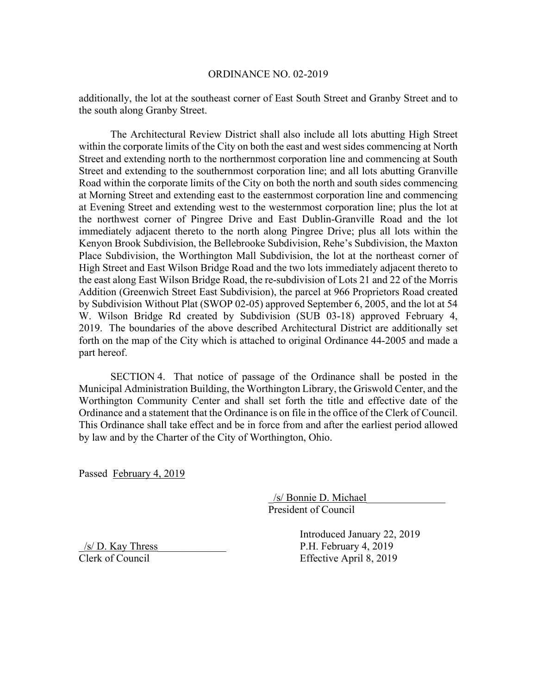# ORDINANCE NO. 02-2019

additionally, the lot at the southeast corner of East South Street and Granby Street and to the south along Granby Street.

The Architectural Review District shall also include all lots abutting High Street within the corporate limits of the City on both the east and west sides commencing at North Street and extending north to the northernmost corporation line and commencing at South Street and extending to the southernmost corporation line; and all lots abutting Granville Road within the corporate limits of the City on both the north and south sides commencing at Morning Street and extending east to the easternmost corporation line and commencing at Evening Street and extending west to the westernmost corporation line; plus the lot at the northwest corner of Pingree Drive and East Dublin-Granville Road and the lot immediately adjacent thereto to the north along Pingree Drive; plus all lots within the Kenyon Brook Subdivision, the Bellebrooke Subdivision, Rehe's Subdivision, the Maxton Place Subdivision, the Worthington Mall Subdivision, the lot at the northeast corner of High Street and East Wilson Bridge Road and the two lots immediately adjacent thereto to the east along East Wilson Bridge Road, the re-subdivision of Lots 21 and 22 of the Morris Addition (Greenwich Street East Subdivision), the parcel at 966 Proprietors Road created by Subdivision Without Plat (SWOP 02-05) approved September 6, 2005, and the lot at 54 W. Wilson Bridge Rd created by Subdivision (SUB 03-18) approved February 4, 2019. The boundaries of the above described Architectural District are additionally set forth on the map of the City which is attached to original Ordinance 44-2005 and made a part hereof.

 SECTION 4. That notice of passage of the Ordinance shall be posted in the Municipal Administration Building, the Worthington Library, the Griswold Center, and the Worthington Community Center and shall set forth the title and effective date of the Ordinance and a statement that the Ordinance is on file in the office of the Clerk of Council. This Ordinance shall take effect and be in force from and after the earliest period allowed by law and by the Charter of the City of Worthington, Ohio.

Passed February 4, 2019

 \_/s/ Bonnie D. Michael\_\_\_\_\_\_\_\_\_\_\_\_\_\_\_ President of Council

 Introduced January 22, 2019  $/s/D$ . Kay Thress P.H. February 4, 2019 Clerk of Council Effective April 8, 2019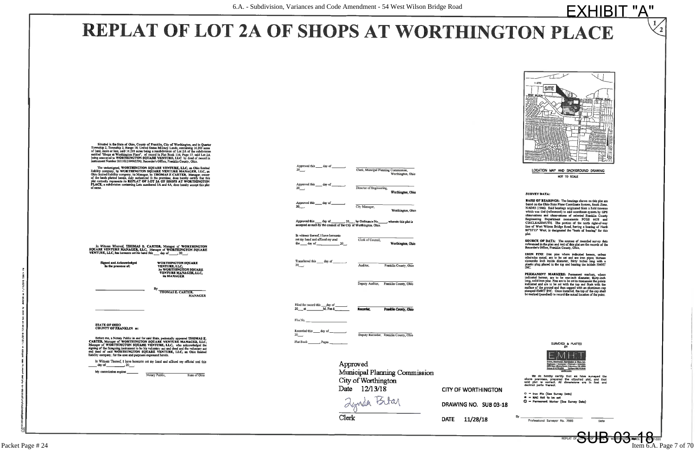# 6.A. - Subdivision, Variances and Code Amendment - 54 West Wilson Bridge Road **EXHIBIT "A" REPLAT OF LOT 2A OF SHOPS AT WORTHINGTON PLACE**

Situated in the State of Ohio, County of Franklin, City of Worthington, and in Quarter Township 2, Township 2, Range 18, United States Military Lands, containing 16.203 nores of land, more or less, said 16.203 acres being Number 201101100005590, Recorder's Office, Franklin County, Ohio

The undersigned, WORTHINGTON SQUARE VENTURE, LLC, an Ohio limited<br>liability company, by WORTHINGTON SQUARE VENTURE MANAGER, LLC, an<br>Ohio limited liability company, its Manager, by THOMAS E CARTER, Manager, owner<br>of the lan

In Witness Whereof, THOMAS E. CARTER, Manager of WORTHINGTON SQUARE VENTURE MANAGER, LLC, Manager of WORTHINGTON SQUARE VENTURE, LLC, has hereunto set his hand this  $\_\_\_$  day of  $\_\_$  20 $\_\_$ .  $\frac{1}{20}$ 

Signed and Acknowledged<br>In the presence of:

**WORTHINGTON SQUARE<br>VENTURE, LLC,<br>by WORTHINGTON SQUARE** VENTURE MANAGER, LLC, its MANAGER

By THOMAS E. CARTER, MANAGER

STATE OF OHIO<br>COUNTY OF FRANKLIN 38:

Before me, a Notary Public in and for said State, personally appeared THOMAS E.<br>CARTER, Manager of WORTHINGTON SQUARE VENTURE MANAGER, LLC,<br>Manager of WORTHINGTON SQUARE VENTURE, LLC, who acknowledged the<br>signing of the fo mpany, for the uses and purpor

In Witness Thereof, I have hereunto set my hand and affixed my official seal this  $day of$  20

State of Ohio

Clerk, Muncipal Planning Commiss Worthington, Ohio Director of Engineering Worthington, Ohio Approved this City Manager, .<br>Worthington, Ohio wherein this plat is In witness thereof, I have hereunto Clerk of Council, set my hand and affixed my seal the day of  $20$ Worthington, Ohio Transferred this day of Auditor Franklin County, Ohio Deputy Auditor, Franklin County, Ohio Filed for record this  $\frac{day \text{ of } 20}{M$ . Fee \$ Franklin County, Ohio File No.

Recorded this \_\_\_\_\_ day of \_\_\_\_\_\_  $20$ Plat Book Pages

Deputy Recorder, Franklin County, Ohio

Approved Municipal Planning Commission City of Worthington Date 12/13/18

**CITY OF WORTHINGTON** 

Zynda Bitar

DRAWING NO. SUB 03-18

Clerk

DATE 11/28/18



LOCATION MAP AND BACKGROUND DRAWING NOT TO SCALE

### **SURVEY DATA:**

**BASIS OF BEARINGS:** The bearings shown on this plat are based on the Ohio State Plane Coordinate System, South Zone, NAD83 (1986). Said bearings originated from a field traverse which was tied (referenced) to said coordin where was used transformed to state container system by GPS<br>observations and observations of selected Franklin County<br>Engineering Department monuments FCGS 6658 and<br>CIRCLEAZIMUTH The portion of the north right-of-way<br>line

SOURCE OF DATA: The sources of recorded survey data<br>referenced in the plan and text of this plat are the records of the<br>Recorder's Office, Franklin County, Ohio,

IRON PINS: Iron pins where indicated hereon, unless otherwise noted, are to be set and are iron pipes, thirteen sixteenths inch inside diameter, thirty inches long with a plactic plug placed in the top end bearing the init

**PERMANENT MARKERS:** Permanent markers, where indicated hereon, are to be one-inch diameter, thirty-inch long, solid iron pins. Pins are to be set to monument the point indicated and are to be set with the top end flush wi

### SURVEYED & PLATTED



prepared<br>ect. All

- $Q =$  Iron Pin (See Survey Dota)
- $\bullet$  = MAG Nail to be set
- C) Permanent Marker (See Survey Data)

Professional Surveyor No. 7865

Date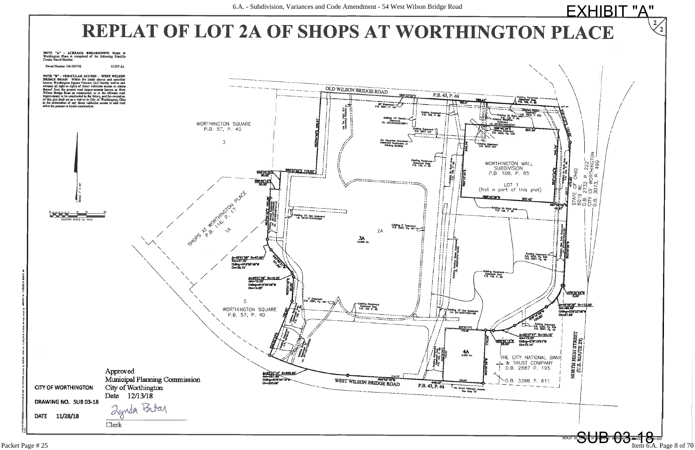